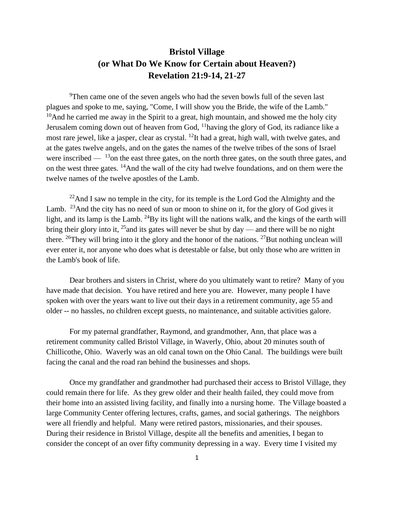## **Bristol Village (or What Do We Know for Certain about Heaven?) Revelation 21:9-14, 21-27**

<sup>9</sup>Then came one of the seven angels who had the seven bowls full of the seven last plagues and spoke to me, saying, "Come, I will show you the Bride, the wife of the Lamb."  $10$ And he carried me away in the Spirit to a great, high mountain, and showed me the holy city Jerusalem coming down out of heaven from God, <sup>11</sup>having the glory of God, its radiance like a most rare jewel, like a jasper, clear as crystal. <sup>12</sup>It had a great, high wall, with twelve gates, and at the gates twelve angels, and on the gates the names of the twelve tribes of the sons of Israel were inscribed  $-$  <sup>13</sup>on the east three gates, on the north three gates, on the south three gates, and on the west three gates. <sup>14</sup>And the wall of the city had twelve foundations, and on them were the twelve names of the twelve apostles of the Lamb.

 $^{22}$ And I saw no temple in the city, for its temple is the Lord God the Almighty and the Lamb. <sup>23</sup> And the city has no need of sun or moon to shine on it, for the glory of God gives it light, and its lamp is the Lamb. <sup>24</sup>By its light will the nations walk, and the kings of the earth will bring their glory into it,  $^{25}$  and its gates will never be shut by day — and there will be no night there. <sup>26</sup>They will bring into it the glory and the honor of the nations. <sup>27</sup>But nothing unclean will ever enter it, nor anyone who does what is detestable or false, but only those who are written in the Lamb's book of life.

Dear brothers and sisters in Christ, where do you ultimately want to retire? Many of you have made that decision. You have retired and here you are. However, many people I have spoken with over the years want to live out their days in a retirement community, age 55 and older -- no hassles, no children except guests, no maintenance, and suitable activities galore.

For my paternal grandfather, Raymond, and grandmother, Ann, that place was a retirement community called Bristol Village, in Waverly, Ohio, about 20 minutes south of Chillicothe, Ohio. Waverly was an old canal town on the Ohio Canal. The buildings were built facing the canal and the road ran behind the businesses and shops.

Once my grandfather and grandmother had purchased their access to Bristol Village, they could remain there for life. As they grew older and their health failed, they could move from their home into an assisted living facility, and finally into a nursing home. The Village boasted a large Community Center offering lectures, crafts, games, and social gatherings. The neighbors were all friendly and helpful. Many were retired pastors, missionaries, and their spouses. During their residence in Bristol Village, despite all the benefits and amenities, I began to consider the concept of an over fifty community depressing in a way. Every time I visited my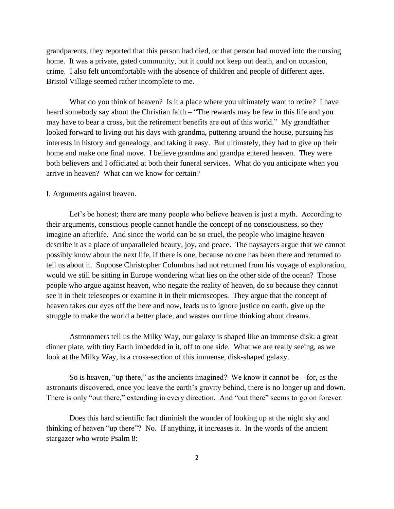grandparents, they reported that this person had died, or that person had moved into the nursing home. It was a private, gated community, but it could not keep out death, and on occasion, crime. I also felt uncomfortable with the absence of children and people of different ages. Bristol Village seemed rather incomplete to me.

What do you think of heaven? Is it a place where you ultimately want to retire? I have heard somebody say about the Christian faith – "The rewards may be few in this life and you may have to bear a cross, but the retirement benefits are out of this world." My grandfather looked forward to living out his days with grandma, puttering around the house, pursuing his interests in history and genealogy, and taking it easy. But ultimately, they had to give up their home and make one final move. I believe grandma and grandpa entered heaven. They were both believers and I officiated at both their funeral services. What do you anticipate when you arrive in heaven? What can we know for certain?

## I. Arguments against heaven.

Let's be honest; there are many people who believe heaven is just a myth. According to their arguments, conscious people cannot handle the concept of no consciousness, so they imagine an afterlife. And since the world can be so cruel, the people who imagine heaven describe it as a place of unparalleled beauty, joy, and peace. The naysayers argue that we cannot possibly know about the next life, if there is one, because no one has been there and returned to tell us about it. Suppose Christopher Columbus had not returned from his voyage of exploration, would we still be sitting in Europe wondering what lies on the other side of the ocean? Those people who argue against heaven, who negate the reality of heaven, do so because they cannot see it in their telescopes or examine it in their microscopes. They argue that the concept of heaven takes our eyes off the here and now, leads us to ignore justice on earth, give up the struggle to make the world a better place, and wastes our time thinking about dreams.

Astronomers tell us the Milky Way, our galaxy is shaped like an immense disk: a great dinner plate, with tiny Earth imbedded in it, off to one side. What we are really seeing, as we look at the Milky Way, is a cross-section of this immense, disk-shaped galaxy.

So is heaven, "up there," as the ancients imagined? We know it cannot be  $-$  for, as the astronauts discovered, once you leave the earth's gravity behind, there is no longer up and down. There is only "out there," extending in every direction. And "out there" seems to go on forever.

Does this hard scientific fact diminish the wonder of looking up at the night sky and thinking of heaven "up there"? No. If anything, it increases it. In the words of the ancient stargazer who wrote Psalm 8: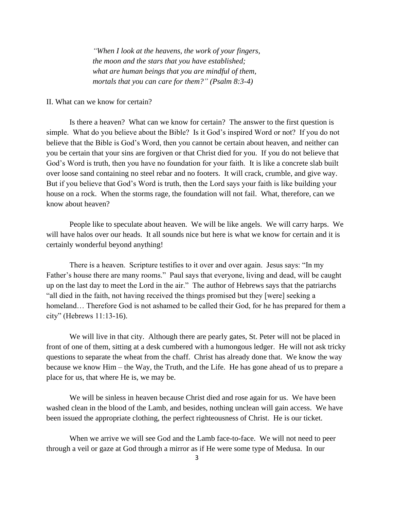*"When I look at the heavens, the work of your fingers, the moon and the stars that you have established; what are human beings that you are mindful of them, mortals that you can care for them?" (Psalm 8:3-4)*

## II. What can we know for certain?

Is there a heaven? What can we know for certain? The answer to the first question is simple. What do you believe about the Bible? Is it God's inspired Word or not? If you do not believe that the Bible is God's Word, then you cannot be certain about heaven, and neither can you be certain that your sins are forgiven or that Christ died for you. If you do not believe that God's Word is truth, then you have no foundation for your faith. It is like a concrete slab built over loose sand containing no steel rebar and no footers. It will crack, crumble, and give way. But if you believe that God's Word is truth, then the Lord says your faith is like building your house on a rock. When the storms rage, the foundation will not fail. What, therefore, can we know about heaven?

People like to speculate about heaven. We will be like angels. We will carry harps. We will have halos over our heads. It all sounds nice but here is what we know for certain and it is certainly wonderful beyond anything!

There is a heaven. Scripture testifies to it over and over again. Jesus says: "In my Father's house there are many rooms." Paul says that everyone, living and dead, will be caught up on the last day to meet the Lord in the air." The author of Hebrews says that the patriarchs "all died in the faith, not having received the things promised but they [were] seeking a homeland... Therefore God is not ashamed to be called their God, for he has prepared for them a city" (Hebrews 11:13-16).

We will live in that city. Although there are pearly gates, St. Peter will not be placed in front of one of them, sitting at a desk cumbered with a humongous ledger. He will not ask tricky questions to separate the wheat from the chaff. Christ has already done that. We know the way because we know Him – the Way, the Truth, and the Life. He has gone ahead of us to prepare a place for us, that where He is, we may be.

We will be sinless in heaven because Christ died and rose again for us. We have been washed clean in the blood of the Lamb, and besides, nothing unclean will gain access. We have been issued the appropriate clothing, the perfect righteousness of Christ. He is our ticket.

When we arrive we will see God and the Lamb face-to-face. We will not need to peer through a veil or gaze at God through a mirror as if He were some type of Medusa. In our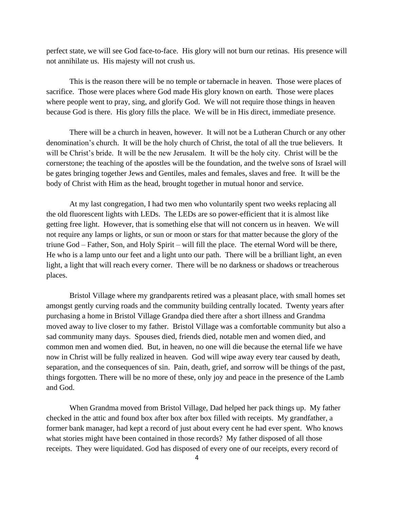perfect state, we will see God face-to-face. His glory will not burn our retinas. His presence will not annihilate us. His majesty will not crush us.

This is the reason there will be no temple or tabernacle in heaven. Those were places of sacrifice. Those were places where God made His glory known on earth. Those were places where people went to pray, sing, and glorify God. We will not require those things in heaven because God is there. His glory fills the place. We will be in His direct, immediate presence.

There will be a church in heaven, however. It will not be a Lutheran Church or any other denomination's church. It will be the holy church of Christ, the total of all the true believers. It will be Christ's bride. It will be the new Jerusalem. It will be the holy city. Christ will be the cornerstone; the teaching of the apostles will be the foundation, and the twelve sons of Israel will be gates bringing together Jews and Gentiles, males and females, slaves and free. It will be the body of Christ with Him as the head, brought together in mutual honor and service.

At my last congregation, I had two men who voluntarily spent two weeks replacing all the old fluorescent lights with LEDs. The LEDs are so power-efficient that it is almost like getting free light. However, that is something else that will not concern us in heaven. We will not require any lamps or lights, or sun or moon or stars for that matter because the glory of the triune God – Father, Son, and Holy Spirit – will fill the place. The eternal Word will be there, He who is a lamp unto our feet and a light unto our path. There will be a brilliant light, an even light, a light that will reach every corner. There will be no darkness or shadows or treacherous places.

Bristol Village where my grandparents retired was a pleasant place, with small homes set amongst gently curving roads and the community building centrally located. Twenty years after purchasing a home in Bristol Village Grandpa died there after a short illness and Grandma moved away to live closer to my father. Bristol Village was a comfortable community but also a sad community many days. Spouses died, friends died, notable men and women died, and common men and women died. But, in heaven, no one will die because the eternal life we have now in Christ will be fully realized in heaven. God will wipe away every tear caused by death, separation, and the consequences of sin. Pain, death, grief, and sorrow will be things of the past, things forgotten. There will be no more of these, only joy and peace in the presence of the Lamb and God.

When Grandma moved from Bristol Village, Dad helped her pack things up. My father checked in the attic and found box after box after box filled with receipts. My grandfather, a former bank manager, had kept a record of just about every cent he had ever spent. Who knows what stories might have been contained in those records? My father disposed of all those receipts. They were liquidated. God has disposed of every one of our receipts, every record of